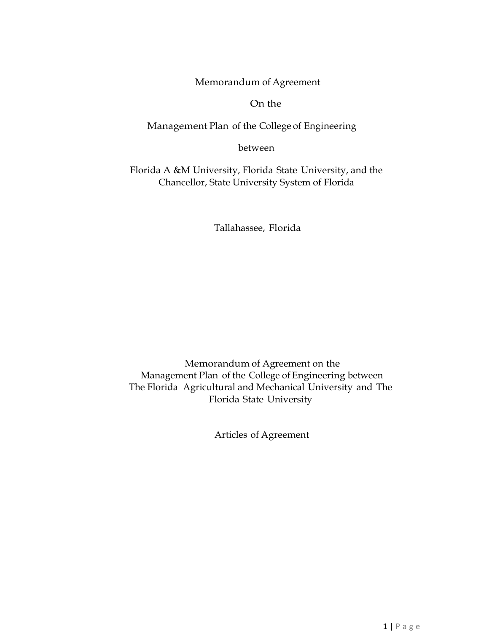Memorandum of Agreement

On the

Management Plan of the College of Engineering

between

Florida A &M University, Florida State University, and the Chancellor, State University System of Florida

Tallahassee, Florida

Memorandum of Agreement on the Management Plan of the College of Engineering between The Florida Agricultural and Mechanical University and The Florida State University

Articles of Agreement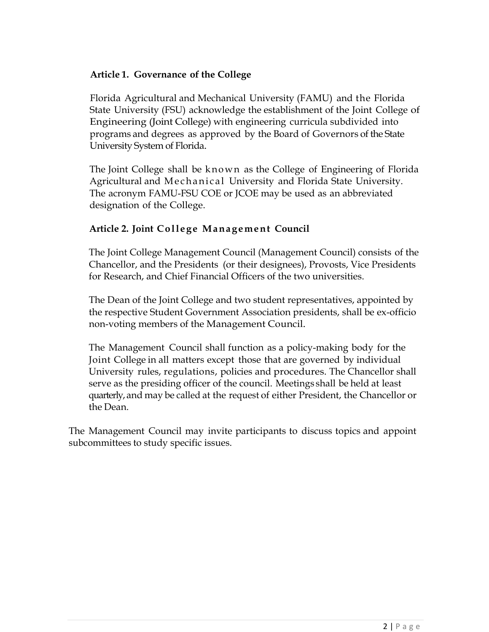## **Article 1. Governance of the College**

Florida Agricultural and Mechanical University (FAMU) and the Florida State University (FSU) acknowledge the establishment of the Joint College of Engineering (Joint College) with engineering curricula subdivided into programs and degrees as approved by the Board of Governors of the State University System of Florida.

The Joint College shall be known as the College of Engineering of Florida Agricultural and Mechanical University and Florida State University. The acronym FAMU-FSU COE or JCOE may be used as an abbreviated designation of the College.

# **Article 2. Joint Col le ge Management Council**

The Joint College Management Council (Management Council) consists of the Chancellor, and the Presidents (or their designees), Provosts, Vice Presidents for Research, and Chief Financial Officers of the two universities.

The Dean of the Joint College and two student representatives, appointed by the respective Student Government Association presidents, shall be ex-officio non-voting members of the Management Council.

The Management Council shall function as a policy-making body for the Joint College in all matters except those that are governed by individual University rules, regulations, policies and procedures. The Chancellor shall serve as the presiding officer of the council. Meetings shall be held at least quarterly, and may be called at the request of either President, the Chancellor or the Dean.

The Management Council may invite participants to discuss topics and appoint subcommittees to study specific issues.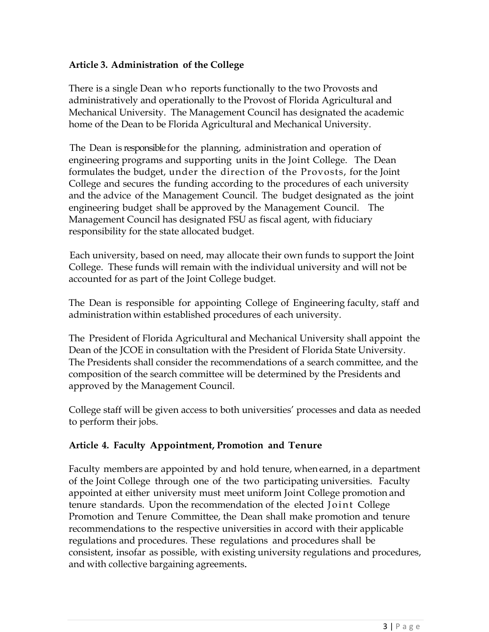### **Article 3. Administration of the College**

There is a single Dean who reports functionally to the two Provosts and administratively and operationally to the Provost of Florida Agricultural and Mechanical University. The Management Council has designated the academic home of the Dean to be Florida Agricultural and Mechanical University.

The Dean is responsible for the planning, administration and operation of engineering programs and supporting units in the Joint College. The Dean formulates the budget, under the direction of the Provosts, for the Joint College and secures the funding according to the procedures of each university and the advice of the Management Council. The budget designated as the joint engineering budget shall be approved by the Management Council. The Management Council has designated FSU as fiscal agent, with fiduciary responsibility for the state allocated budget.

Each university, based on need, may allocate their own funds to support the Joint College. These funds will remain with the individual university and will not be accounted for as part of the Joint College budget.

The Dean is responsible for appointing College of Engineering faculty, staff and administration within established procedures of each university.

The President of Florida Agricultural and Mechanical University shall appoint the Dean of the JCOE in consultation with the President of Florida State University. The Presidents shall consider the recommendations of a search committee, and the composition of the search committee will be determined by the Presidents and approved by the Management Council.

College staff will be given access to both universities' processes and data as needed to perform their jobs.

#### **Article 4. Faculty Appointment, Promotion and Tenure**

Faculty members are appointed by and hold tenure, when earned, in a department of the Joint College through one of the two participating universities. Faculty appointed at either university must meet uniform Joint College promotion and tenure standards. Upon the recommendation of the elected Joint College Promotion and Tenure Committee, the Dean shall make promotion and tenure recommendations to the respective universities in accord with their applicable regulations and procedures. These regulations and procedures shall be consistent, insofar as possible, with existing university regulations and procedures, and with collective bargaining agreements.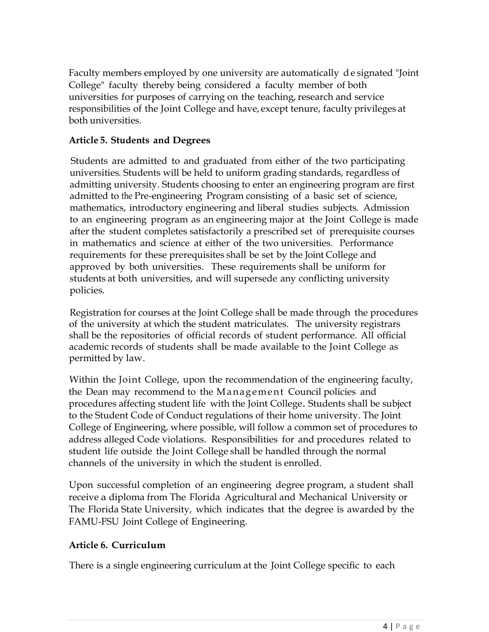Faculty members employed by one university are automatically d e signated "Joint College" faculty thereby being considered a faculty member of both universities for purposes of carrying on the teaching, research and service responsibilities of the Joint College and have, except tenure, faculty privileges at both universities.

## **Article 5. Students and Degrees**

Students are admitted to and graduated from either of the two participating universities. Students will be held to uniform grading standards, regardless of admitting university. Students choosing to enter an engineering program are first admitted to the Pre-engineering Program consisting of a basic set of science, mathematics, introductory engineering and liberal studies subjects. Admission to an engineering program as an engineering major at the Joint College is made after the student completes satisfactorily a prescribed set of prerequisite courses in mathematics and science at either of the two universities. Performance requirements for these prerequisites shall be set by the Joint College and approved by both universities. These requirements shall be uniform for students at both universities, and will supersede any conflicting university policies.

Registration for courses at the Joint College shall be made through the procedures of the university at which the student matriculates. The university registrars shall be the repositories of official records of student performance. All official academic records of students shall be made available to the Joint College as permitted by law.

Within the Joint College, upon the recommendation of the engineering faculty, the Dean may recommend to the Management Council policies and procedures affecting student life with the Joint College. Students shall be subject to the Student Code of Conduct regulations of their home university. The Joint College of Engineering, where possible, will follow a common set of procedures to address alleged Code violations. Responsibilities for and procedures related to student life outside the Joint College shall be handled through the normal channels of the university in which the student is enrolled.

Upon successful completion of an engineering degree program, a student shall receive a diploma from The Florida Agricultural and Mechanical University or The Florida State University, which indicates that the degree is awarded by the FAMU-FSU Joint College of Engineering.

## **Article 6. Curriculum**

There is a single engineering curriculum at the Joint College specific to each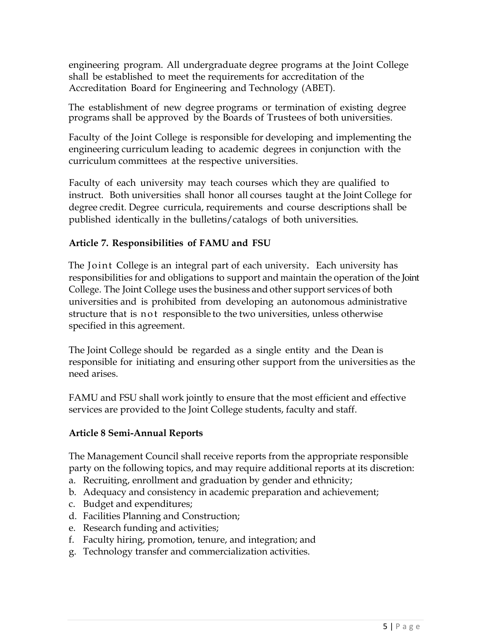engineering program. All undergraduate degree programs at the Joint College shall be established to meet the requirements for accreditation of the Accreditation Board for Engineering and Technology (ABET).

The establishment of new degree programs or termination of existing degree programs shall be approved by the Boards of Trustees of both universities.

Faculty of the Joint College is responsible for developing and implementing the engineering curriculum leading to academic degrees in conjunction with the curriculum committees at the respective universities.

Faculty of each university may teach courses which they are qualified to instruct. Both universities shall honor all courses taught at the Joint College for degree credit. Degree curricula, requirements and course descriptions shall be published identically in the bulletins/catalogs of both universities.

### **Article 7. Responsibilities of FAMU and FSU**

The Joint College is an integral part of each university. Each university has responsibilities for and obligations to support and maintain the operation of the Joint College. The Joint College uses the business and other support services of both universities and is prohibited from developing an autonomous administrative structure that is n ot responsible to the two universities, unless otherwise specified in this agreement.

The Joint College should be regarded as a single entity and the Dean is responsible for initiating and ensuring other support from the universities as the need arises.

FAMU and FSU shall work jointly to ensure that the most efficient and effective services are provided to the Joint College students, faculty and staff.

#### **Article 8 Semi-Annual Reports**

The Management Council shall receive reports from the appropriate responsible party on the following topics, and may require additional reports at its discretion:

- a. Recruiting, enrollment and graduation by gender and ethnicity;
- b. Adequacy and consistency in academic preparation and achievement;
- c. Budget and expenditures;
- d. Facilities Planning and Construction;
- e. Research funding and activities;
- f. Faculty hiring, promotion, tenure, and integration; and
- g. Technology transfer and commercialization activities.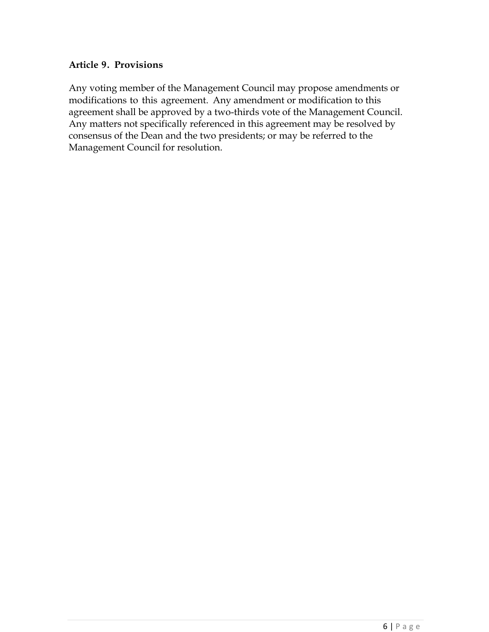### **Article 9. Provisions**

Any voting member of the Management Council may propose amendments or modifications to this agreement. Any amendment or modification to this agreement shall be approved by a two-thirds vote of the Management Council. Any matters not specifically referenced in this agreement may be resolved by consensus of the Dean and the two presidents; or may be referred to the Management Council for resolution.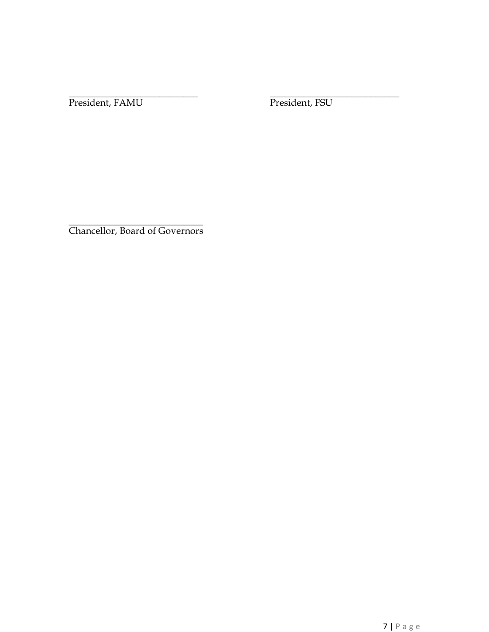\_\_\_\_\_\_\_\_\_\_\_\_\_\_\_\_\_\_\_\_\_\_\_\_\_\_\_ \_\_\_\_\_\_\_\_\_\_\_\_\_\_\_\_\_\_\_\_\_\_\_\_\_\_\_ President, FAMU President, FSU

 $\_$ Chancellor, Board of Governors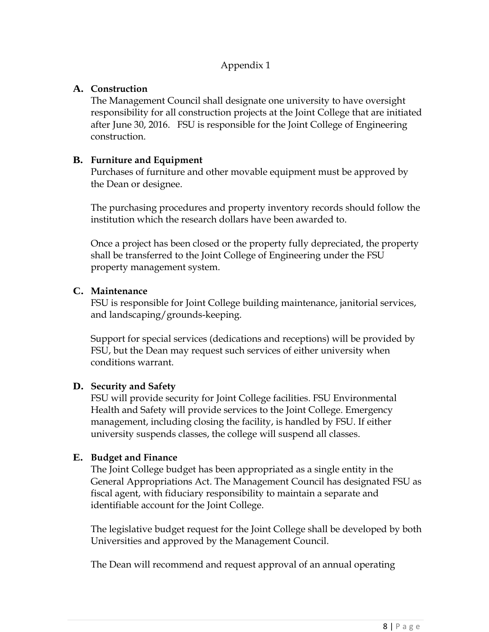# Appendix 1

### **A. Construction**

The Management Council shall designate one university to have oversight responsibility for all construction projects at the Joint College that are initiated after June 30, 2016. FSU is responsible for the Joint College of Engineering construction.

### **B. Furniture and Equipment**

Purchases of furniture and other movable equipment must be approved by the Dean or designee.

The purchasing procedures and property inventory records should follow the institution which the research dollars have been awarded to.

Once a project has been closed or the property fully depreciated, the property shall be transferred to the Joint College of Engineering under the FSU property management system.

### **C. Maintenance**

FSU is responsible for Joint College building maintenance, janitorial services, and landscaping/grounds-keeping.

Support for special services (dedications and receptions) will be provided by FSU, but the Dean may request such services of either university when conditions warrant.

## **D. Security and Safety**

FSU will provide security for Joint College facilities. FSU Environmental Health and Safety will provide services to the Joint College. Emergency management, including closing the facility, is handled by FSU. If either university suspends classes, the college will suspend all classes.

## **E. Budget and Finance**

The Joint College budget has been appropriated as a single entity in the General Appropriations Act. The Management Council has designated FSU as fiscal agent, with fiduciary responsibility to maintain a separate and identifiable account for the Joint College.

The legislative budget request for the Joint College shall be developed by both Universities and approved by the Management Council.

The Dean will recommend and request approval of an annual operating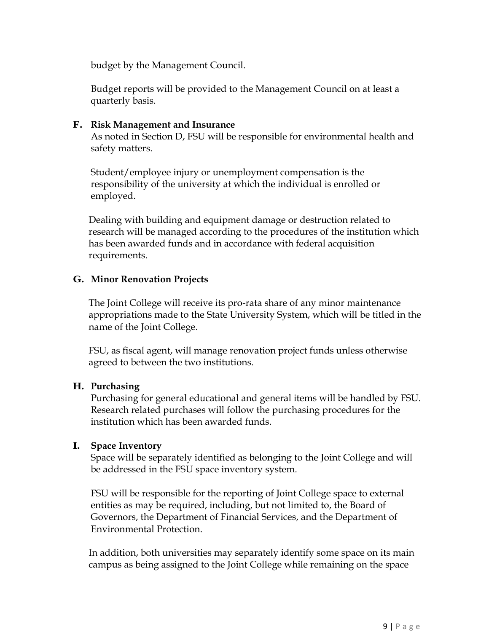budget by the Management Council.

Budget reports will be provided to the Management Council on at least a quarterly basis.

### **F. Risk Management and Insurance**

As noted in Section D, FSU will be responsible for environmental health and safety matters.

Student/employee injury or unemployment compensation is the responsibility of the university at which the individual is enrolled or employed.

Dealing with building and equipment damage or destruction related to research will be managed according to the procedures of the institution which has been awarded funds and in accordance with federal acquisition requirements.

### **G. Minor Renovation Projects**

The Joint College will receive its pro-rata share of any minor maintenance appropriations made to the State University System, which will be titled in the name of the Joint College.

FSU, as fiscal agent, will manage renovation project funds unless otherwise agreed to between the two institutions.

#### **H. Purchasing**

Purchasing for general educational and general items will be handled by FSU. Research related purchases will follow the purchasing procedures for the institution which has been awarded funds.

## **I. Space Inventory**

Space will be separately identified as belonging to the Joint College and will be addressed in the FSU space inventory system.

FSU will be responsible for the reporting of Joint College space to external entities as may be required, including, but not limited to, the Board of Governors, the Department of Financial Services, and the Department of Environmental Protection.

In addition, both universities may separately identify some space on its main campus as being assigned to the Joint College while remaining on the space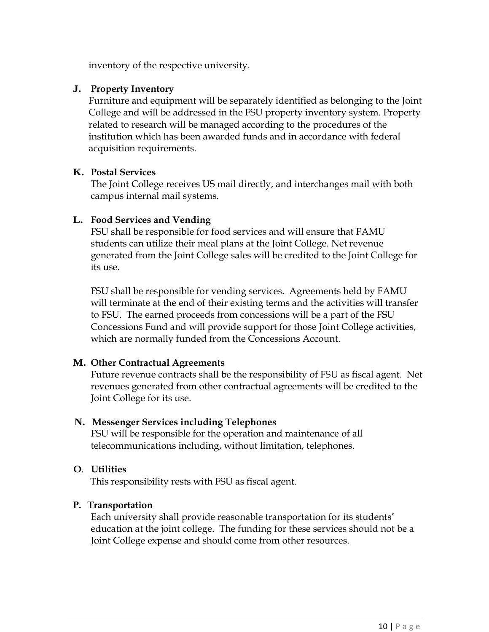inventory of the respective university.

#### **J. Property Inventory**

Furniture and equipment will be separately identified as belonging to the Joint College and will be addressed in the FSU property inventory system. Property related to research will be managed according to the procedures of the institution which has been awarded funds and in accordance with federal acquisition requirements.

#### **K. Postal Services**

The Joint College receives US mail directly, and interchanges mail with both campus internal mail systems.

### **L. Food Services and Vending**

FSU shall be responsible for food services and will ensure that FAMU students can utilize their meal plans at the Joint College. Net revenue generated from the Joint College sales will be credited to the Joint College for its use.

FSU shall be responsible for vending services. Agreements held by FAMU will terminate at the end of their existing terms and the activities will transfer to FSU. The earned proceeds from concessions will be a part of the FSU Concessions Fund and will provide support for those Joint College activities, which are normally funded from the Concessions Account.

#### **M. Other Contractual Agreements**

Future revenue contracts shall be the responsibility of FSU as fiscal agent. Net revenues generated from other contractual agreements will be credited to the Joint College for its use.

#### **N. Messenger Services including Telephones**

FSU will be responsible for the operation and maintenance of all telecommunications including, without limitation, telephones.

## **O**. **Utilities**

This responsibility rests with FSU as fiscal agent.

## **P. Transportation**

Each university shall provide reasonable transportation for its students' education at the joint college. The funding for these services should not be a Joint College expense and should come from other resources.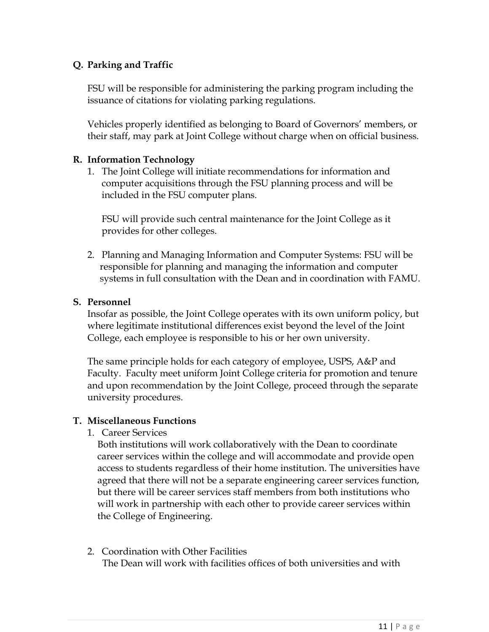## **Q. Parking and Traffic**

FSU will be responsible for administering the parking program including the issuance of citations for violating parking regulations.

Vehicles properly identified as belonging to Board of Governors' members, or their staff, may park at Joint College without charge when on official business.

## **R. Information Technology**

1. The Joint College will initiate recommendations for information and computer acquisitions through the FSU planning process and will be included in the FSU computer plans.

FSU will provide such central maintenance for the Joint College as it provides for other colleges.

2. Planning and Managing Information and Computer Systems: FSU will be responsible for planning and managing the information and computer systems in full consultation with the Dean and in coordination with FAMU.

### **S. Personnel**

Insofar as possible, the Joint College operates with its own uniform policy, but where legitimate institutional differences exist beyond the level of the Joint College, each employee is responsible to his or her own university.

The same principle holds for each category of employee, USPS, A&P and Faculty. Faculty meet uniform Joint College criteria for promotion and tenure and upon recommendation by the Joint College, proceed through the separate university procedures.

#### **T. Miscellaneous Functions**

1. Career Services

Both institutions will work collaboratively with the Dean to coordinate career services within the college and will accommodate and provide open access to students regardless of their home institution. The universities have agreed that there will not be a separate engineering career services function, but there will be career services staff members from both institutions who will work in partnership with each other to provide career services within the College of Engineering.

2. Coordination with Other Facilities The Dean will work with facilities offices of both universities and with